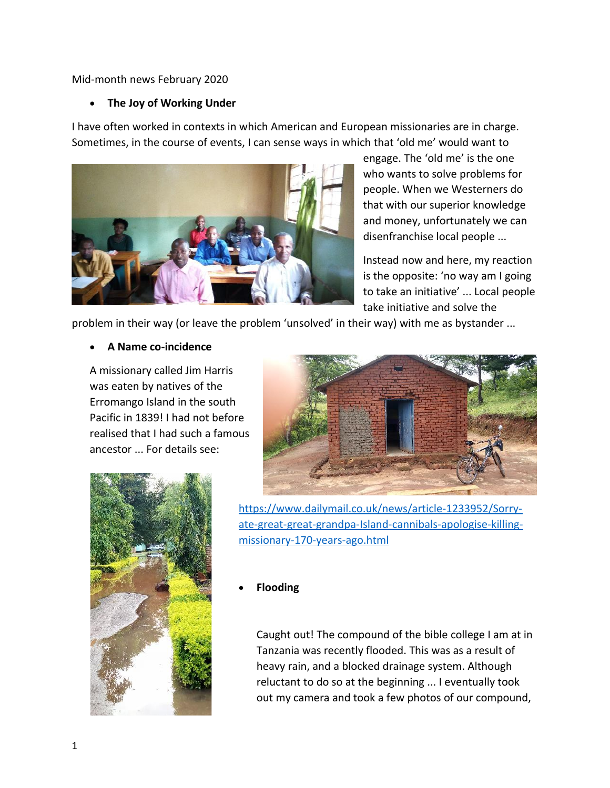#### Mid-month news February 2020

#### **The Joy of Working Under**

I have often worked in contexts in which American and European missionaries are in charge. Sometimes, in the course of events, I can sense ways in which that 'old me' would want to



engage. The 'old me' is the one who wants to solve problems for people. When we Westerners do that with our superior knowledge and money, unfortunately we can disenfranchise local people ...

Instead now and here, my reaction is the opposite: 'no way am I going to take an initiative' ... Local people take initiative and solve the

problem in their way (or leave the problem 'unsolved' in their way) with me as bystander ...

#### **A Name co-incidence**

A missionary called Jim Harris was eaten by natives of the Erromango Island in the south Pacific in 1839! I had not before realised that I had such a famous ancestor ... For details see:





[https://www.dailymail.co.uk/news/article-1233952/Sorry](https://www.dailymail.co.uk/news/article-1233952/Sorry-ate-great-great-grandpa-Island-cannibals-apologise-killing-missionary-170-years-ago.html)[ate-great-great-grandpa-Island-cannibals-apologise-killing](https://www.dailymail.co.uk/news/article-1233952/Sorry-ate-great-great-grandpa-Island-cannibals-apologise-killing-missionary-170-years-ago.html)[missionary-170-years-ago.html](https://www.dailymail.co.uk/news/article-1233952/Sorry-ate-great-great-grandpa-Island-cannibals-apologise-killing-missionary-170-years-ago.html)

#### **Flooding**

Caught out! The compound of the bible college I am at in Tanzania was recently flooded. This was as a result of heavy rain, and a blocked drainage system. Although reluctant to do so at the beginning ... I eventually took out my camera and took a few photos of our compound,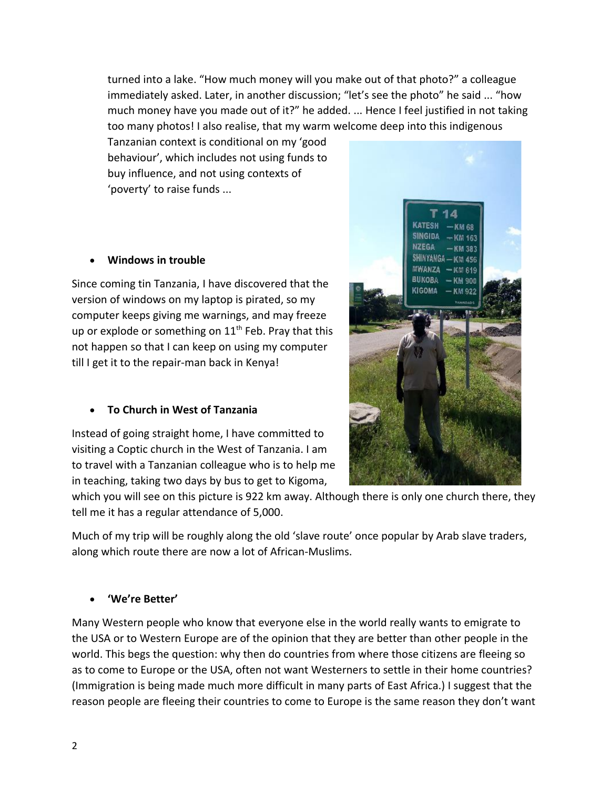turned into a lake. "How much money will you make out of that photo?" a colleague immediately asked. Later, in another discussion; "let's see the photo" he said ... "how much money have you made out of it?" he added. ... Hence I feel justified in not taking too many photos! I also realise, that my warm welcome deep into this indigenous

Tanzanian context is conditional on my 'good behaviour', which includes not using funds to buy influence, and not using contexts of 'poverty' to raise funds ...

## **Windows in trouble**

Since coming tin Tanzania, I have discovered that the version of windows on my laptop is pirated, so my computer keeps giving me warnings, and may freeze up or explode or something on  $11<sup>th</sup>$  Feb. Pray that this not happen so that I can keep on using my computer till I get it to the repair-man back in Kenya!

# **To Church in West of Tanzania**

Instead of going straight home, I have committed to visiting a Coptic church in the West of Tanzania. I am to travel with a Tanzanian colleague who is to help me in teaching, taking two days by bus to get to Kigoma,

which you will see on this picture is 922 km away. Although there is only one church there, they tell me it has a regular attendance of 5,000.

Much of my trip will be roughly along the old 'slave route' once popular by Arab slave traders, along which route there are now a lot of African-Muslims.

### **'We're Better'**

Many Western people who know that everyone else in the world really wants to emigrate to the USA or to Western Europe are of the opinion that they are better than other people in the world. This begs the question: why then do countries from where those citizens are fleeing so as to come to Europe or the USA, often not want Westerners to settle in their home countries? (Immigration is being made much more difficult in many parts of East Africa.) I suggest that the reason people are fleeing their countries to come to Europe is the same reason they don't want